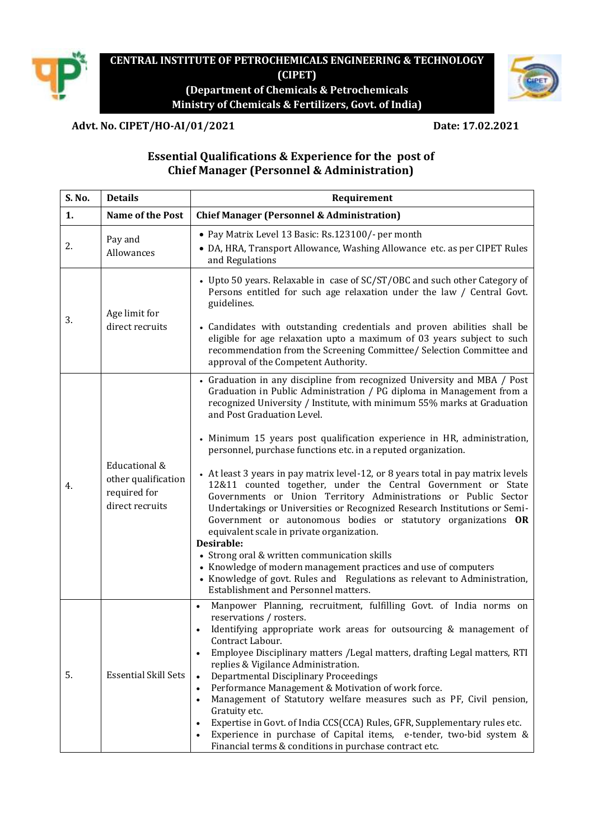

## **CENTRAL INSTITUTE OF PETROCHEMICALS ENGINEERING & TECHNOLOGY (CIPET) (Department of Chemicals & Petrochemicals Ministry of Chemicals & Fertilizers, Govt. of India)**



**Advt. No. CIPET/HO-AI/01/2021 Date: 17.02.2021**

# **Essential Qualifications & Experience for the post of Chief Manager (Personnel & Administration)**

| S. No. | <b>Details</b>                                                          | Requirement                                                                                                                                                                                                                                                                                                                                                                                                                                                                                                                                                                                                                                                                                                                                                                                                                                                                                                                                                                                                                                                                     |
|--------|-------------------------------------------------------------------------|---------------------------------------------------------------------------------------------------------------------------------------------------------------------------------------------------------------------------------------------------------------------------------------------------------------------------------------------------------------------------------------------------------------------------------------------------------------------------------------------------------------------------------------------------------------------------------------------------------------------------------------------------------------------------------------------------------------------------------------------------------------------------------------------------------------------------------------------------------------------------------------------------------------------------------------------------------------------------------------------------------------------------------------------------------------------------------|
| 1.     | Name of the Post                                                        | <b>Chief Manager (Personnel &amp; Administration)</b>                                                                                                                                                                                                                                                                                                                                                                                                                                                                                                                                                                                                                                                                                                                                                                                                                                                                                                                                                                                                                           |
| 2.     | Pay and<br>Allowances                                                   | • Pay Matrix Level 13 Basic: Rs.123100/- per month<br>• DA, HRA, Transport Allowance, Washing Allowance etc. as per CIPET Rules<br>and Regulations                                                                                                                                                                                                                                                                                                                                                                                                                                                                                                                                                                                                                                                                                                                                                                                                                                                                                                                              |
| 3.     | Age limit for<br>direct recruits                                        | • Upto 50 years. Relaxable in case of SC/ST/OBC and such other Category of<br>Persons entitled for such age relaxation under the law / Central Govt.<br>guidelines.<br>• Candidates with outstanding credentials and proven abilities shall be<br>eligible for age relaxation upto a maximum of 03 years subject to such<br>recommendation from the Screening Committee/ Selection Committee and<br>approval of the Competent Authority.                                                                                                                                                                                                                                                                                                                                                                                                                                                                                                                                                                                                                                        |
| 4.     | Educational &<br>other qualification<br>required for<br>direct recruits | • Graduation in any discipline from recognized University and MBA / Post<br>Graduation in Public Administration / PG diploma in Management from a<br>recognized University / Institute, with minimum 55% marks at Graduation<br>and Post Graduation Level.<br>• Minimum 15 years post qualification experience in HR, administration,<br>personnel, purchase functions etc. in a reputed organization.<br>• At least 3 years in pay matrix level-12, or 8 years total in pay matrix levels<br>12&11 counted together, under the Central Government or State<br>Governments or Union Territory Administrations or Public Sector<br>Undertakings or Universities or Recognized Research Institutions or Semi-<br>Government or autonomous bodies or statutory organizations OR<br>equivalent scale in private organization.<br>Desirable:<br>• Strong oral & written communication skills<br>• Knowledge of modern management practices and use of computers<br>• Knowledge of govt. Rules and Regulations as relevant to Administration,<br>Establishment and Personnel matters. |
| 5.     | <b>Essential Skill Sets</b>                                             | Manpower Planning, recruitment, fulfilling Govt. of India norms on<br>$\bullet$<br>reservations / rosters.<br>Identifying appropriate work areas for outsourcing & management of<br>Contract Labour.<br>Employee Disciplinary matters / Legal matters, drafting Legal matters, RTI<br>replies & Vigilance Administration.<br>Departmental Disciplinary Proceedings<br>Performance Management & Motivation of work force.<br>$\bullet$<br>Management of Statutory welfare measures such as PF, Civil pension,<br>Gratuity etc.<br>Expertise in Govt. of India CCS(CCA) Rules, GFR, Supplementary rules etc.<br>Experience in purchase of Capital items, e-tender, two-bid system &<br>Financial terms & conditions in purchase contract etc.                                                                                                                                                                                                                                                                                                                                     |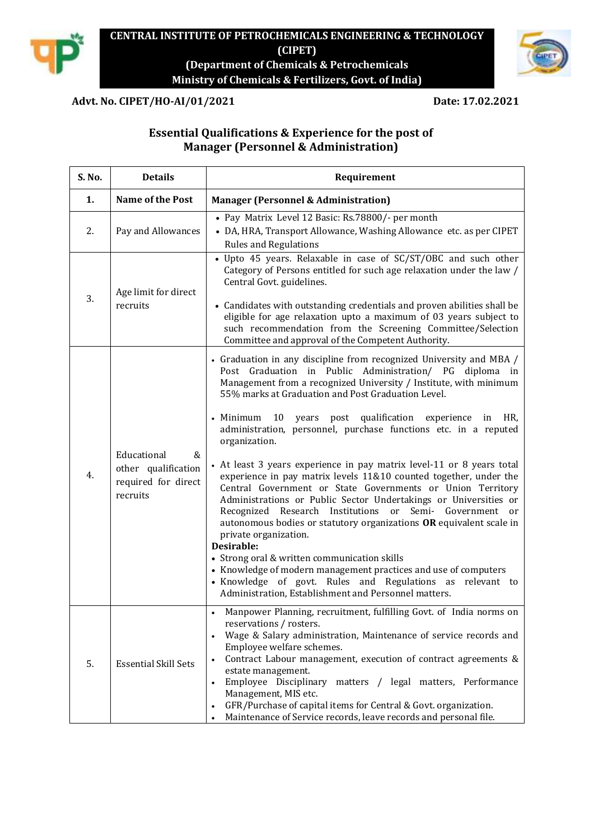

## **CENTRAL INSTITUTE OF PETROCHEMICALS ENGINEERING & TECHNOLOGY (CIPET) (Department of Chemicals & Petrochemicals Ministry of Chemicals & Fertilizers, Govt. of India)**

## **Advt. No. CIPET/HO-AI/01/2021 Date: 17.02.2021**

# **Essential Qualifications & Experience for the post of Manager (Personnel & Administration)**

| S. No. | <b>Details</b>                                                             | Requirement                                                                                                                                                                                                                                                                                                                                                                                                                                                                                                                                                                                                                                                                                                                                                                                                                                                                                                                                                                                                                                                                                                              |
|--------|----------------------------------------------------------------------------|--------------------------------------------------------------------------------------------------------------------------------------------------------------------------------------------------------------------------------------------------------------------------------------------------------------------------------------------------------------------------------------------------------------------------------------------------------------------------------------------------------------------------------------------------------------------------------------------------------------------------------------------------------------------------------------------------------------------------------------------------------------------------------------------------------------------------------------------------------------------------------------------------------------------------------------------------------------------------------------------------------------------------------------------------------------------------------------------------------------------------|
| 1.     | <b>Name of the Post</b>                                                    | <b>Manager (Personnel &amp; Administration)</b>                                                                                                                                                                                                                                                                                                                                                                                                                                                                                                                                                                                                                                                                                                                                                                                                                                                                                                                                                                                                                                                                          |
| 2.     | Pay and Allowances                                                         | • Pay Matrix Level 12 Basic: Rs.78800/- per month<br>• DA, HRA, Transport Allowance, Washing Allowance etc. as per CIPET<br><b>Rules and Regulations</b>                                                                                                                                                                                                                                                                                                                                                                                                                                                                                                                                                                                                                                                                                                                                                                                                                                                                                                                                                                 |
| 3.     | Age limit for direct<br>recruits                                           | • Upto 45 years. Relaxable in case of SC/ST/OBC and such other<br>Category of Persons entitled for such age relaxation under the law /<br>Central Govt. guidelines.<br>• Candidates with outstanding credentials and proven abilities shall be<br>eligible for age relaxation upto a maximum of 03 years subject to<br>such recommendation from the Screening Committee/Selection<br>Committee and approval of the Competent Authority.                                                                                                                                                                                                                                                                                                                                                                                                                                                                                                                                                                                                                                                                                  |
| 4.     | Educational<br>&<br>other qualification<br>required for direct<br>recruits | • Graduation in any discipline from recognized University and MBA /<br>Post Graduation in Public Administration/ PG diploma in<br>Management from a recognized University / Institute, with minimum<br>55% marks at Graduation and Post Graduation Level.<br>10<br>qualification<br>• Minimum<br>years post<br>experience in<br>HR.<br>administration, personnel, purchase functions etc. in a reputed<br>organization.<br>• At least 3 years experience in pay matrix level-11 or 8 years total<br>experience in pay matrix levels 11&10 counted together, under the<br>Central Government or State Governments or Union Territory<br>Administrations or Public Sector Undertakings or Universities or<br>Recognized Research Institutions or Semi- Government or<br>autonomous bodies or statutory organizations OR equivalent scale in<br>private organization.<br>Desirable:<br>• Strong oral & written communication skills<br>• Knowledge of modern management practices and use of computers<br>• Knowledge of govt. Rules and Regulations as relevant to<br>Administration, Establishment and Personnel matters. |
| 5.     | <b>Essential Skill Sets</b>                                                | Manpower Planning, recruitment, fulfilling Govt. of India norms on<br>$\bullet$<br>reservations / rosters.<br>Wage & Salary administration, Maintenance of service records and<br>Employee welfare schemes.<br>Contract Labour management, execution of contract agreements &<br>estate management.<br>Employee Disciplinary matters / legal matters, Performance<br>$\bullet$<br>Management, MIS etc.<br>GFR/Purchase of capital items for Central & Govt. organization.<br>$\bullet$<br>Maintenance of Service records, leave records and personal file.                                                                                                                                                                                                                                                                                                                                                                                                                                                                                                                                                               |